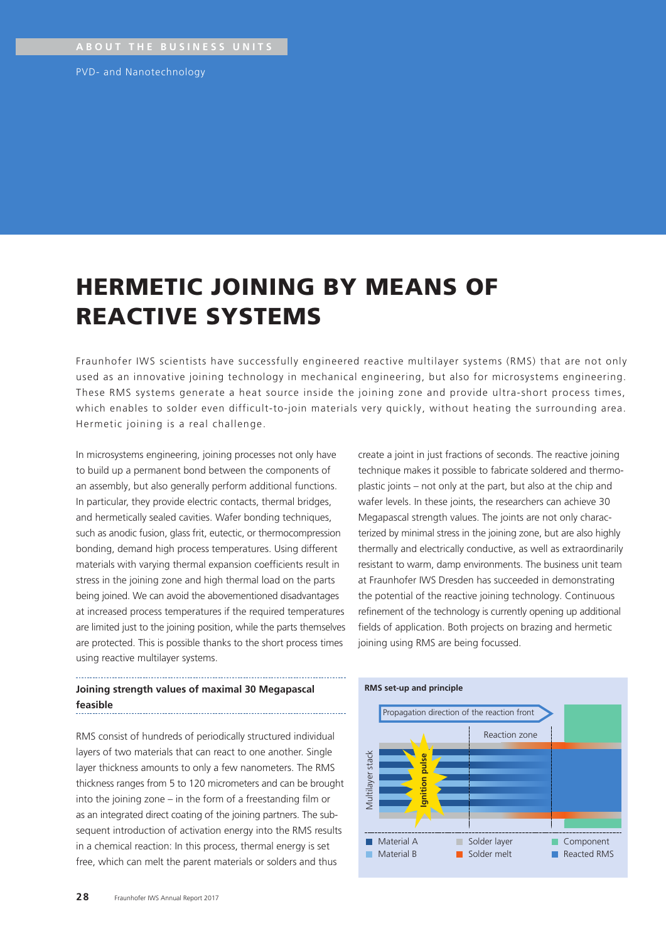PVD- and Nanotechnology

# HERMETIC JOINING BY MEANS OF REACTIVE SYSTEMS

Fraunhofer IWS scientists have successfully engineered reactive multilayer systems (RMS) that are not only used as an innovative joining technology in mechanical engineering, but also for microsystems engineering. These RMS systems generate a heat source inside the joining zone and provide ultra-short process times, which enables to solder even difficult-to-join materials very quickly, without heating the surrounding area. Hermetic joining is a real challenge.

In microsystems engineering, joining processes not only have to build up a permanent bond between the components of an assembly, but also generally perform additional functions. In particular, they provide electric contacts, thermal bridges, and hermetically sealed cavities. Wafer bonding techniques, such as anodic fusion, glass frit, eutectic, or thermocompression bonding, demand high process temperatures. Using different materials with varying thermal expansion coefficients result in stress in the joining zone and high thermal load on the parts being joined. We can avoid the abovementioned disadvantages at increased process temperatures if the required temperatures are limited just to the joining position, while the parts themselves are protected. This is possible thanks to the short process times using reactive multilayer systems.

## plastic joints – not only at the part, but also at the chip and wafer levels. In these joints, the researchers can achieve 30 Megapascal strength values. The joints are not only characterized by minimal stress in the joining zone, but are also highly thermally and electrically conductive, as well as extraordinarily resistant to warm, damp environments. The business unit team at Fraunhofer IWS Dresden has succeeded in demonstrating the potential of the reactive joining technology. Continuous refinement of the technology is currently opening up additional fields of application. Both projects on brazing and hermetic joining using RMS are being focussed.

create a joint in just fractions of seconds. The reactive joining technique makes it possible to fabricate soldered and thermo-

#### **Joining strength values of maximal 30 Megapascal feasible**

RMS consist of hundreds of periodically structured individual layers of two materials that can react to one another. Single layer thickness amounts to only a few nanometers. The RMS thickness ranges from 5 to 120 micrometers and can be brought into the joining zone – in the form of a freestanding film or as an integrated direct coating of the joining partners. The subsequent introduction of activation energy into the RMS results in a chemical reaction: In this process, thermal energy is set free, which can melt the parent materials or solders and thus